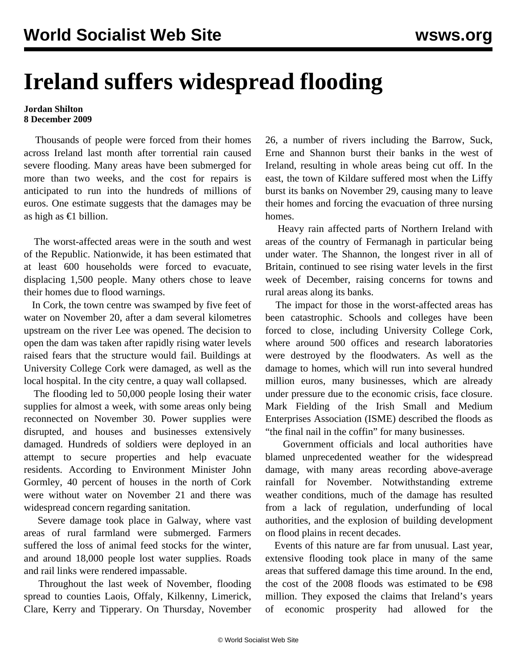## **Ireland suffers widespread flooding**

## **Jordan Shilton 8 December 2009**

 Thousands of people were forced from their homes across Ireland last month after torrential rain caused severe flooding. Many areas have been submerged for more than two weeks, and the cost for repairs is anticipated to run into the hundreds of millions of euros. One estimate suggests that the damages may be as high as €1 billion.

 The worst-affected areas were in the south and west of the Republic. Nationwide, it has been estimated that at least 600 households were forced to evacuate, displacing 1,500 people. Many others chose to leave their homes due to flood warnings.

 In Cork, the town centre was swamped by five feet of water on November 20, after a dam several kilometres upstream on the river Lee was opened. The decision to open the dam was taken after rapidly rising water levels raised fears that the structure would fail. Buildings at University College Cork were damaged, as well as the local hospital. In the city centre, a quay wall collapsed.

 The flooding led to 50,000 people losing their water supplies for almost a week, with some areas only being reconnected on November 30. Power supplies were disrupted, and houses and businesses extensively damaged. Hundreds of soldiers were deployed in an attempt to secure properties and help evacuate residents. According to Environment Minister John Gormley, 40 percent of houses in the north of Cork were without water on November 21 and there was widespread concern regarding sanitation.

 Severe damage took place in Galway, where vast areas of rural farmland were submerged. Farmers suffered the loss of animal feed stocks for the winter, and around 18,000 people lost water supplies. Roads and rail links were rendered impassable.

 Throughout the last week of November, flooding spread to counties Laois, Offaly, Kilkenny, Limerick, Clare, Kerry and Tipperary. On Thursday, November 26, a number of rivers including the Barrow, Suck, Erne and Shannon burst their banks in the west of Ireland, resulting in whole areas being cut off. In the east, the town of Kildare suffered most when the Liffy burst its banks on November 29, causing many to leave their homes and forcing the evacuation of three nursing homes.

 Heavy rain affected parts of Northern Ireland with areas of the country of Fermanagh in particular being under water. The Shannon, the longest river in all of Britain, continued to see rising water levels in the first week of December, raising concerns for towns and rural areas along its banks.

 The impact for those in the worst-affected areas has been catastrophic. Schools and colleges have been forced to close, including University College Cork, where around 500 offices and research laboratories were destroyed by the floodwaters. As well as the damage to homes, which will run into several hundred million euros, many businesses, which are already under pressure due to the economic crisis, face closure. Mark Fielding of the Irish Small and Medium Enterprises Association (ISME) described the floods as "the final nail in the coffin" for many businesses.

 Government officials and local authorities have blamed unprecedented weather for the widespread damage, with many areas recording above-average rainfall for November. Notwithstanding extreme weather conditions, much of the damage has resulted from a lack of regulation, underfunding of local authorities, and the explosion of building development on flood plains in recent decades.

 Events of this nature are far from unusual. Last year, extensive flooding took place in many of the same areas that suffered damage this time around. In the end, the cost of the 2008 floods was estimated to be  $\epsilon$ 98 million. They exposed the claims that Ireland's years of economic prosperity had allowed for the